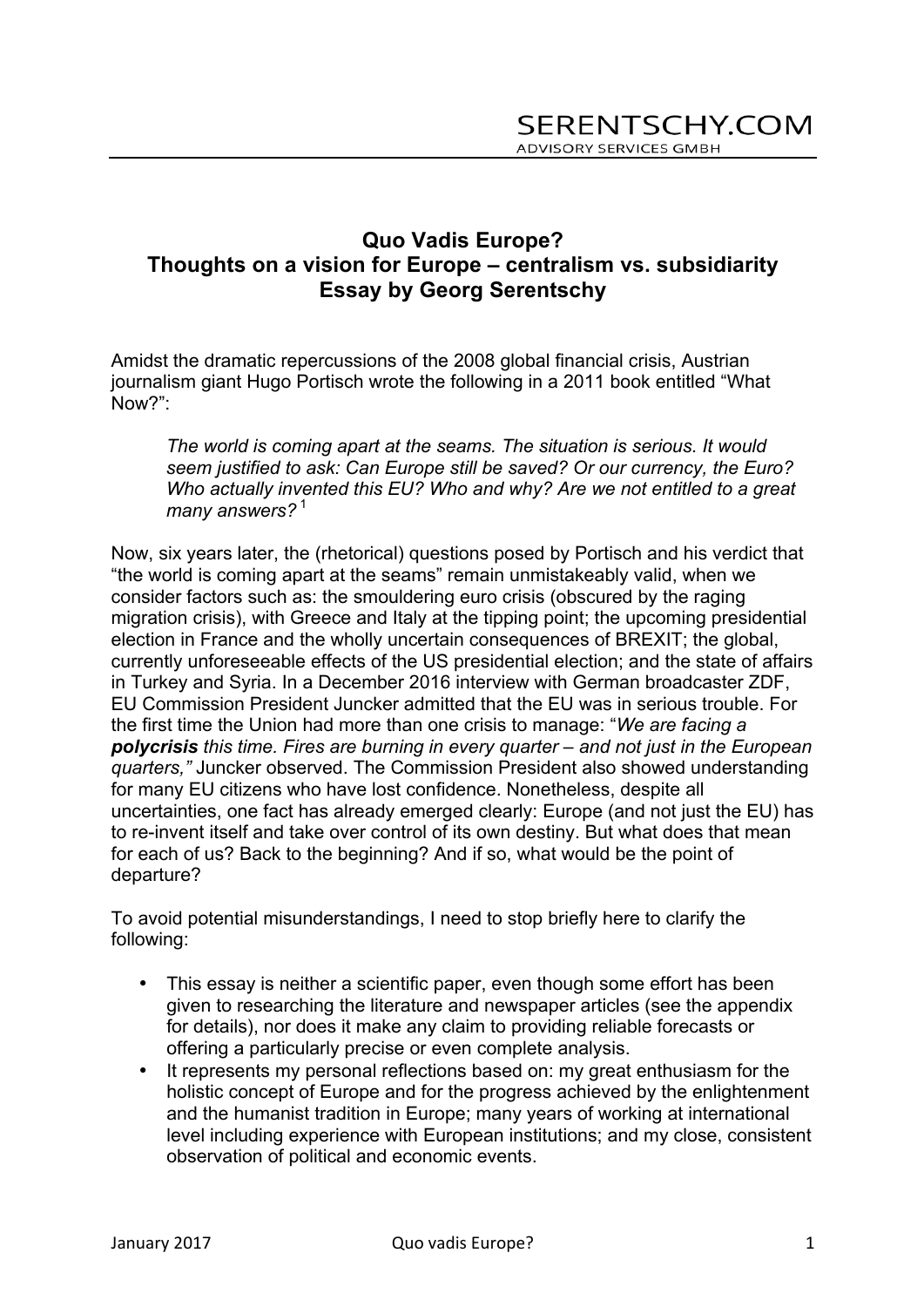# **Quo Vadis Europe? Thoughts on a vision for Europe – centralism vs. subsidiarity Essay by Georg Serentschy**

Amidst the dramatic repercussions of the 2008 global financial crisis, Austrian journalism giant Hugo Portisch wrote the following in a 2011 book entitled "What Now?":

*The world is coming apart at the seams. The situation is serious. It would seem justified to ask: Can Europe still be saved? Or our currency, the Euro? Who actually invented this EU? Who and why? Are we not entitled to a great*  many answers?<sup>1</sup>

Now, six years later, the (rhetorical) questions posed by Portisch and his verdict that "the world is coming apart at the seams" remain unmistakeably valid, when we consider factors such as: the smouldering euro crisis (obscured by the raging migration crisis), with Greece and Italy at the tipping point; the upcoming presidential election in France and the wholly uncertain consequences of BREXIT; the global, currently unforeseeable effects of the US presidential election; and the state of affairs in Turkey and Syria. In a December 2016 interview with German broadcaster ZDF, EU Commission President Juncker admitted that the EU was in serious trouble. For the first time the Union had more than one crisis to manage: "*We are facing a polycrisis this time. Fires are burning in every quarter – and not just in the European quarters,"* Juncker observed. The Commission President also showed understanding for many EU citizens who have lost confidence. Nonetheless, despite all uncertainties, one fact has already emerged clearly: Europe (and not just the EU) has to re-invent itself and take over control of its own destiny. But what does that mean for each of us? Back to the beginning? And if so, what would be the point of departure?

To avoid potential misunderstandings, I need to stop briefly here to clarify the following:

- This essay is neither a scientific paper, even though some effort has been given to researching the literature and newspaper articles (see the appendix for details), nor does it make any claim to providing reliable forecasts or offering a particularly precise or even complete analysis.
- It represents my personal reflections based on: my great enthusiasm for the holistic concept of Europe and for the progress achieved by the enlightenment and the humanist tradition in Europe; many years of working at international level including experience with European institutions; and my close, consistent observation of political and economic events.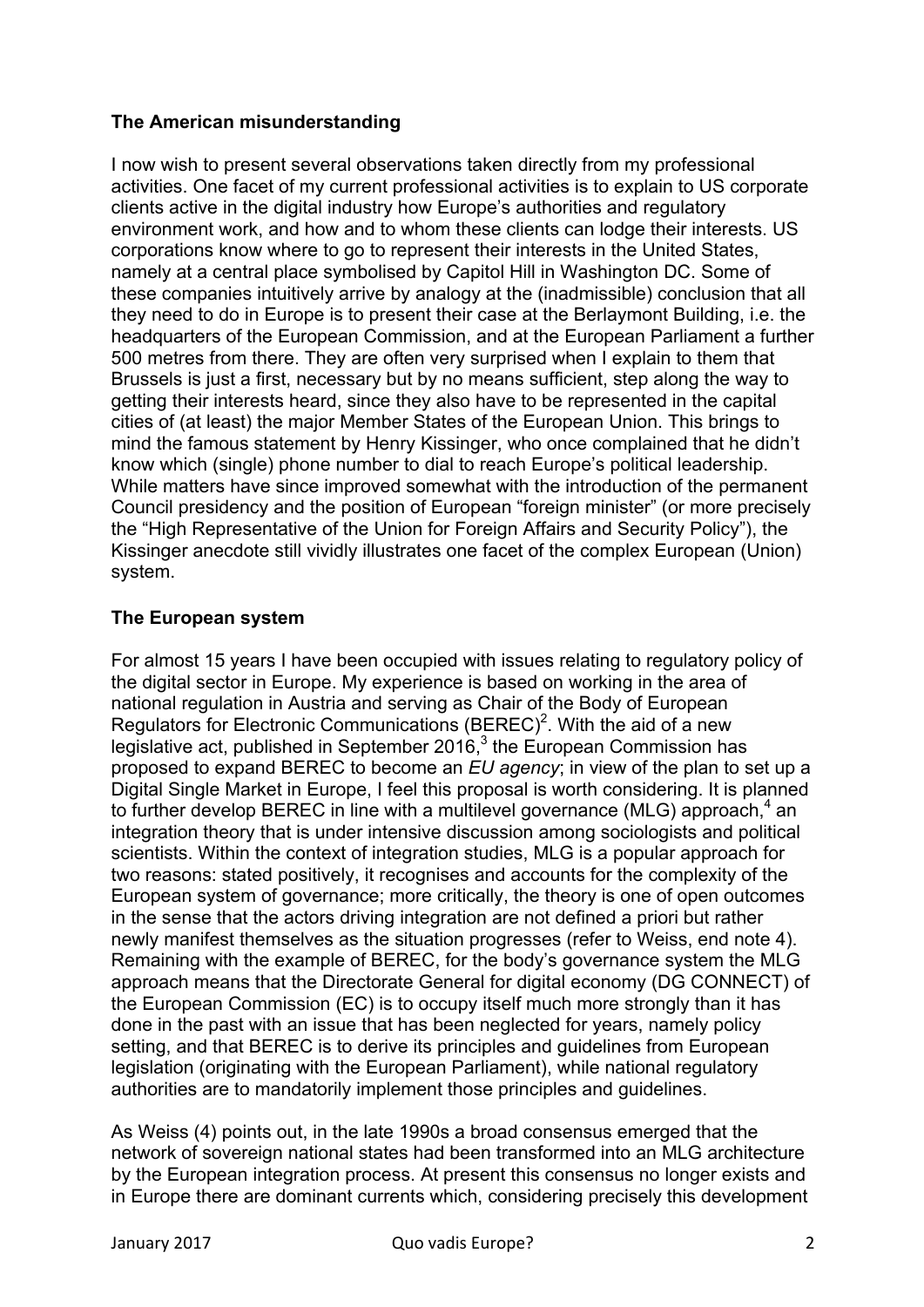## **The American misunderstanding**

I now wish to present several observations taken directly from my professional activities. One facet of my current professional activities is to explain to US corporate clients active in the digital industry how Europe's authorities and regulatory environment work, and how and to whom these clients can lodge their interests. US corporations know where to go to represent their interests in the United States, namely at a central place symbolised by Capitol Hill in Washington DC. Some of these companies intuitively arrive by analogy at the (inadmissible) conclusion that all they need to do in Europe is to present their case at the Berlaymont Building, i.e. the headquarters of the European Commission, and at the European Parliament a further 500 metres from there. They are often very surprised when I explain to them that Brussels is just a first, necessary but by no means sufficient, step along the way to getting their interests heard, since they also have to be represented in the capital cities of (at least) the major Member States of the European Union. This brings to mind the famous statement by Henry Kissinger, who once complained that he didn't know which (single) phone number to dial to reach Europe's political leadership. While matters have since improved somewhat with the introduction of the permanent Council presidency and the position of European "foreign minister" (or more precisely the "High Representative of the Union for Foreign Affairs and Security Policy"), the Kissinger anecdote still vividly illustrates one facet of the complex European (Union) system.

## **The European system**

For almost 15 years I have been occupied with issues relating to regulatory policy of the digital sector in Europe. My experience is based on working in the area of national regulation in Austria and serving as Chair of the Body of European Regulators for Electronic Communications  $(BEREC)^2$ . With the aid of a new legislative act, published in September 2016, $3$  the European Commission has proposed to expand BEREC to become an *EU agency*; in view of the plan to set up a Digital Single Market in Europe, I feel this proposal is worth considering. It is planned to further develop BEREC in line with a multilevel governance (MLG) approach, $4$  an integration theory that is under intensive discussion among sociologists and political scientists. Within the context of integration studies, MLG is a popular approach for two reasons: stated positively, it recognises and accounts for the complexity of the European system of governance; more critically, the theory is one of open outcomes in the sense that the actors driving integration are not defined a priori but rather newly manifest themselves as the situation progresses (refer to Weiss, end note 4). Remaining with the example of BEREC, for the body's governance system the MLG approach means that the Directorate General for digital economy (DG CONNECT) of the European Commission (EC) is to occupy itself much more strongly than it has done in the past with an issue that has been neglected for years, namely policy setting, and that BEREC is to derive its principles and guidelines from European legislation (originating with the European Parliament), while national regulatory authorities are to mandatorily implement those principles and guidelines.

As Weiss (4) points out, in the late 1990s a broad consensus emerged that the network of sovereign national states had been transformed into an MLG architecture by the European integration process. At present this consensus no longer exists and in Europe there are dominant currents which, considering precisely this development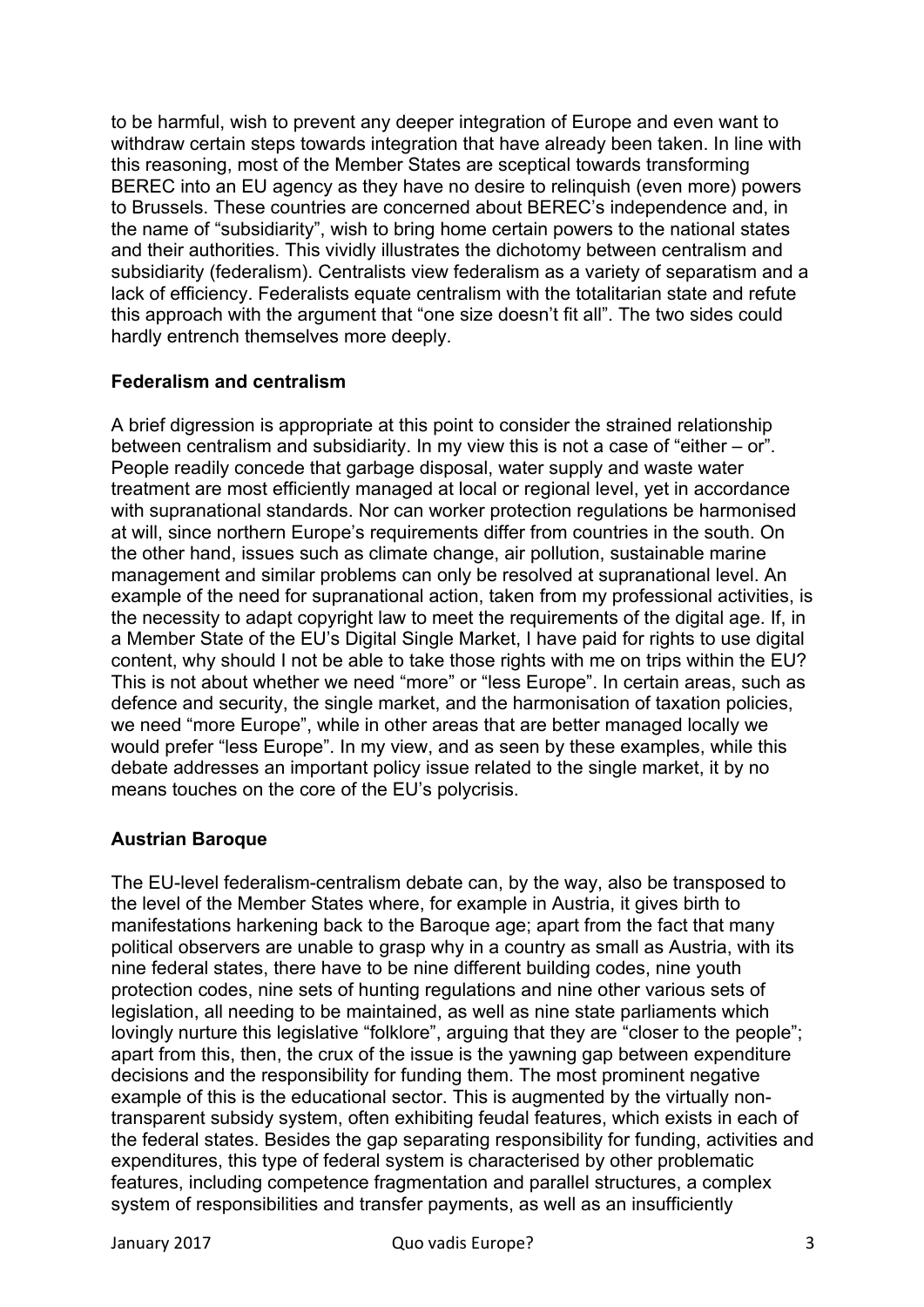to be harmful, wish to prevent any deeper integration of Europe and even want to withdraw certain steps towards integration that have already been taken. In line with this reasoning, most of the Member States are sceptical towards transforming BEREC into an EU agency as they have no desire to relinquish (even more) powers to Brussels. These countries are concerned about BEREC's independence and, in the name of "subsidiarity", wish to bring home certain powers to the national states and their authorities. This vividly illustrates the dichotomy between centralism and subsidiarity (federalism). Centralists view federalism as a variety of separatism and a lack of efficiency. Federalists equate centralism with the totalitarian state and refute this approach with the argument that "one size doesn't fit all". The two sides could hardly entrench themselves more deeply.

#### **Federalism and centralism**

A brief digression is appropriate at this point to consider the strained relationship between centralism and subsidiarity. In my view this is not a case of "either – or". People readily concede that garbage disposal, water supply and waste water treatment are most efficiently managed at local or regional level, yet in accordance with supranational standards. Nor can worker protection regulations be harmonised at will, since northern Europe's requirements differ from countries in the south. On the other hand, issues such as climate change, air pollution, sustainable marine management and similar problems can only be resolved at supranational level. An example of the need for supranational action, taken from my professional activities, is the necessity to adapt copyright law to meet the requirements of the digital age. If, in a Member State of the EU's Digital Single Market, I have paid for rights to use digital content, why should I not be able to take those rights with me on trips within the EU? This is not about whether we need "more" or "less Europe". In certain areas, such as defence and security, the single market, and the harmonisation of taxation policies, we need "more Europe", while in other areas that are better managed locally we would prefer "less Europe". In my view, and as seen by these examples, while this debate addresses an important policy issue related to the single market, it by no means touches on the core of the EU's polycrisis.

## **Austrian Baroque**

The EU-level federalism-centralism debate can, by the way, also be transposed to the level of the Member States where, for example in Austria, it gives birth to manifestations harkening back to the Baroque age; apart from the fact that many political observers are unable to grasp why in a country as small as Austria, with its nine federal states, there have to be nine different building codes, nine youth protection codes, nine sets of hunting regulations and nine other various sets of legislation, all needing to be maintained, as well as nine state parliaments which lovingly nurture this legislative "folklore", arguing that they are "closer to the people"; apart from this, then, the crux of the issue is the yawning gap between expenditure decisions and the responsibility for funding them. The most prominent negative example of this is the educational sector. This is augmented by the virtually nontransparent subsidy system, often exhibiting feudal features, which exists in each of the federal states. Besides the gap separating responsibility for funding, activities and expenditures, this type of federal system is characterised by other problematic features, including competence fragmentation and parallel structures, a complex system of responsibilities and transfer payments, as well as an insufficiently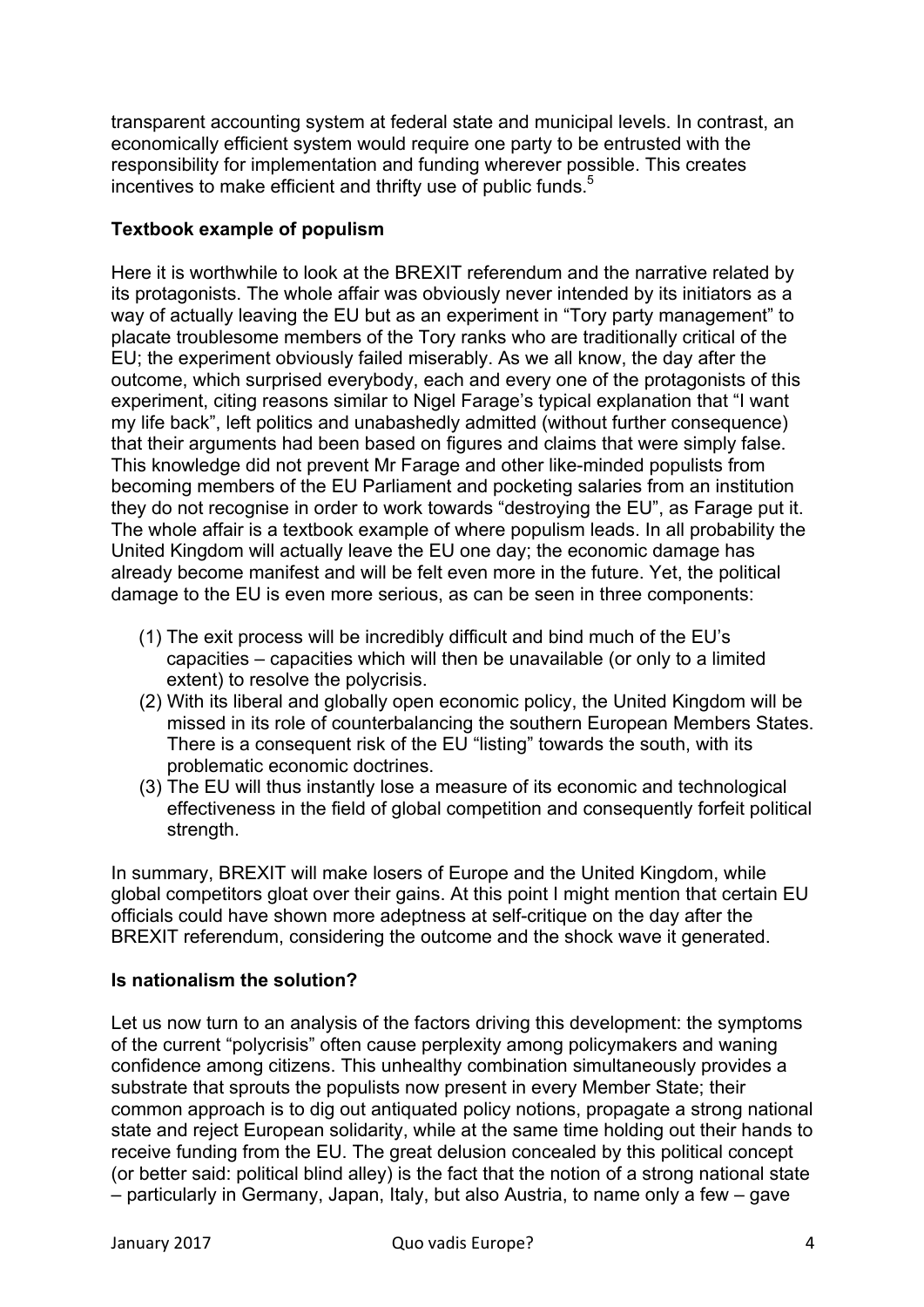transparent accounting system at federal state and municipal levels. In contrast, an economically efficient system would require one party to be entrusted with the responsibility for implementation and funding wherever possible. This creates incentives to make efficient and thrifty use of public funds.<sup>5</sup>

## **Textbook example of populism**

Here it is worthwhile to look at the BREXIT referendum and the narrative related by its protagonists. The whole affair was obviously never intended by its initiators as a way of actually leaving the EU but as an experiment in "Tory party management" to placate troublesome members of the Tory ranks who are traditionally critical of the EU; the experiment obviously failed miserably. As we all know, the day after the outcome, which surprised everybody, each and every one of the protagonists of this experiment, citing reasons similar to Nigel Farage's typical explanation that "I want my life back", left politics and unabashedly admitted (without further consequence) that their arguments had been based on figures and claims that were simply false. This knowledge did not prevent Mr Farage and other like-minded populists from becoming members of the EU Parliament and pocketing salaries from an institution they do not recognise in order to work towards "destroying the EU", as Farage put it. The whole affair is a textbook example of where populism leads. In all probability the United Kingdom will actually leave the EU one day; the economic damage has already become manifest and will be felt even more in the future. Yet, the political damage to the EU is even more serious, as can be seen in three components:

- (1) The exit process will be incredibly difficult and bind much of the EU's capacities – capacities which will then be unavailable (or only to a limited extent) to resolve the polycrisis.
- (2) With its liberal and globally open economic policy, the United Kingdom will be missed in its role of counterbalancing the southern European Members States. There is a consequent risk of the EU "listing" towards the south, with its problematic economic doctrines.
- (3) The EU will thus instantly lose a measure of its economic and technological effectiveness in the field of global competition and consequently forfeit political strength.

In summary, BREXIT will make losers of Europe and the United Kingdom, while global competitors gloat over their gains. At this point I might mention that certain EU officials could have shown more adeptness at self-critique on the day after the BREXIT referendum, considering the outcome and the shock wave it generated.

## **Is nationalism the solution?**

Let us now turn to an analysis of the factors driving this development: the symptoms of the current "polycrisis" often cause perplexity among policymakers and waning confidence among citizens. This unhealthy combination simultaneously provides a substrate that sprouts the populists now present in every Member State; their common approach is to dig out antiquated policy notions, propagate a strong national state and reject European solidarity, while at the same time holding out their hands to receive funding from the EU. The great delusion concealed by this political concept (or better said: political blind alley) is the fact that the notion of a strong national state – particularly in Germany, Japan, Italy, but also Austria, to name only a few – gave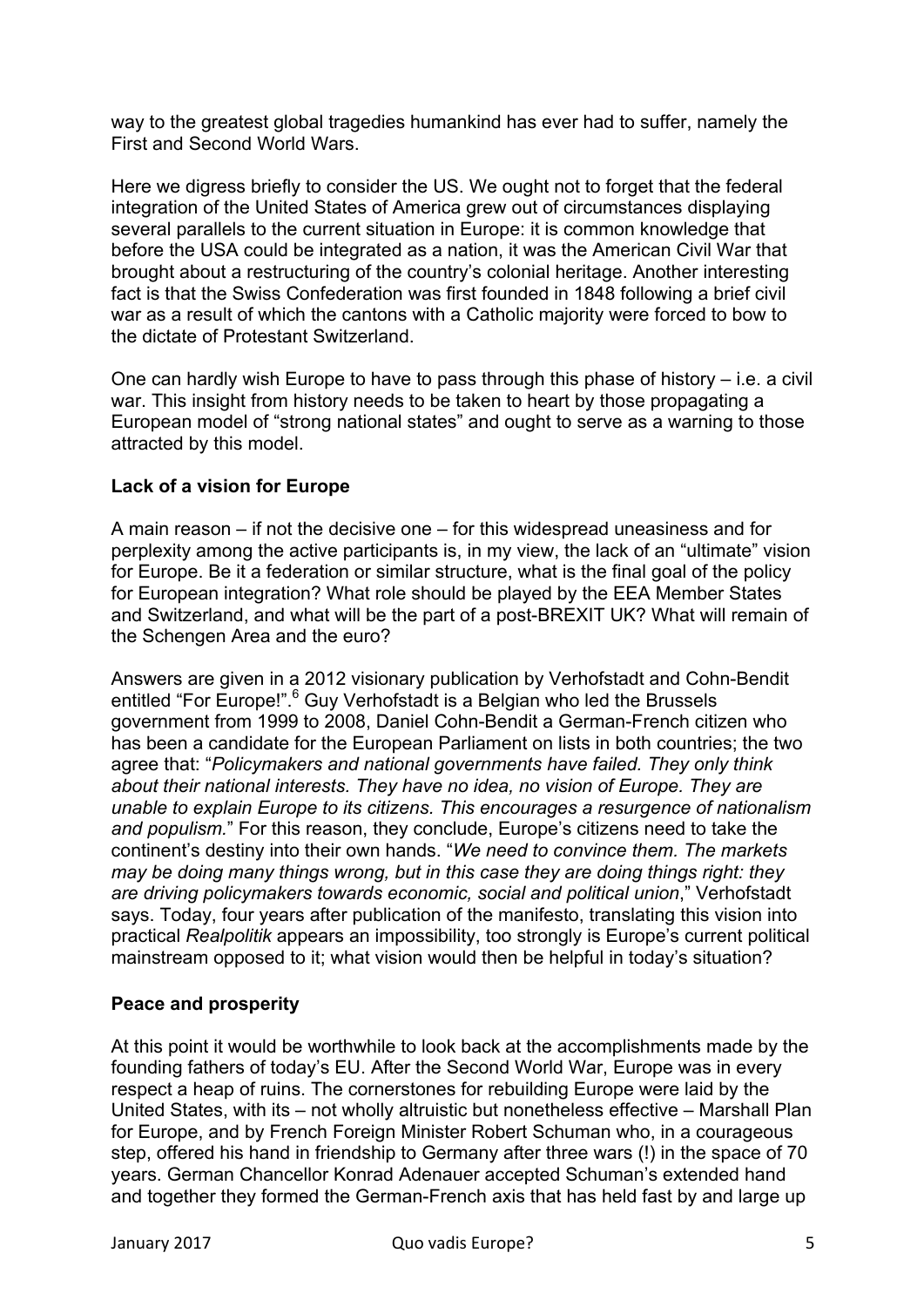way to the greatest global tragedies humankind has ever had to suffer, namely the First and Second World Wars.

Here we digress briefly to consider the US. We ought not to forget that the federal integration of the United States of America grew out of circumstances displaying several parallels to the current situation in Europe: it is common knowledge that before the USA could be integrated as a nation, it was the American Civil War that brought about a restructuring of the country's colonial heritage. Another interesting fact is that the Swiss Confederation was first founded in 1848 following a brief civil war as a result of which the cantons with a Catholic majority were forced to bow to the dictate of Protestant Switzerland.

One can hardly wish Europe to have to pass through this phase of history – i.e. a civil war. This insight from history needs to be taken to heart by those propagating a European model of "strong national states" and ought to serve as a warning to those attracted by this model.

#### **Lack of a vision for Europe**

A main reason – if not the decisive one – for this widespread uneasiness and for perplexity among the active participants is, in my view, the lack of an "ultimate" vision for Europe. Be it a federation or similar structure, what is the final goal of the policy for European integration? What role should be played by the EEA Member States and Switzerland, and what will be the part of a post-BREXIT UK? What will remain of the Schengen Area and the euro?

Answers are given in a 2012 visionary publication by Verhofstadt and Cohn-Bendit entitled "For Europe!".<sup>6</sup> Guy Verhofstadt is a Belgian who led the Brussels government from 1999 to 2008, Daniel Cohn-Bendit a German-French citizen who has been a candidate for the European Parliament on lists in both countries; the two agree that: "*Policymakers and national governments have failed. They only think about their national interests. They have no idea, no vision of Europe. They are unable to explain Europe to its citizens. This encourages a resurgence of nationalism and populism.*" For this reason, they conclude, Europe's citizens need to take the continent's destiny into their own hands. "*We need to convince them. The markets may be doing many things wrong, but in this case they are doing things right: they are driving policymakers towards economic, social and political union*," Verhofstadt says. Today, four years after publication of the manifesto, translating this vision into practical *Realpolitik* appears an impossibility, too strongly is Europe's current political mainstream opposed to it; what vision would then be helpful in today's situation?

#### **Peace and prosperity**

At this point it would be worthwhile to look back at the accomplishments made by the founding fathers of today's EU. After the Second World War, Europe was in every respect a heap of ruins. The cornerstones for rebuilding Europe were laid by the United States, with its – not wholly altruistic but nonetheless effective – Marshall Plan for Europe, and by French Foreign Minister Robert Schuman who, in a courageous step, offered his hand in friendship to Germany after three wars (!) in the space of 70 years. German Chancellor Konrad Adenauer accepted Schuman's extended hand and together they formed the German-French axis that has held fast by and large up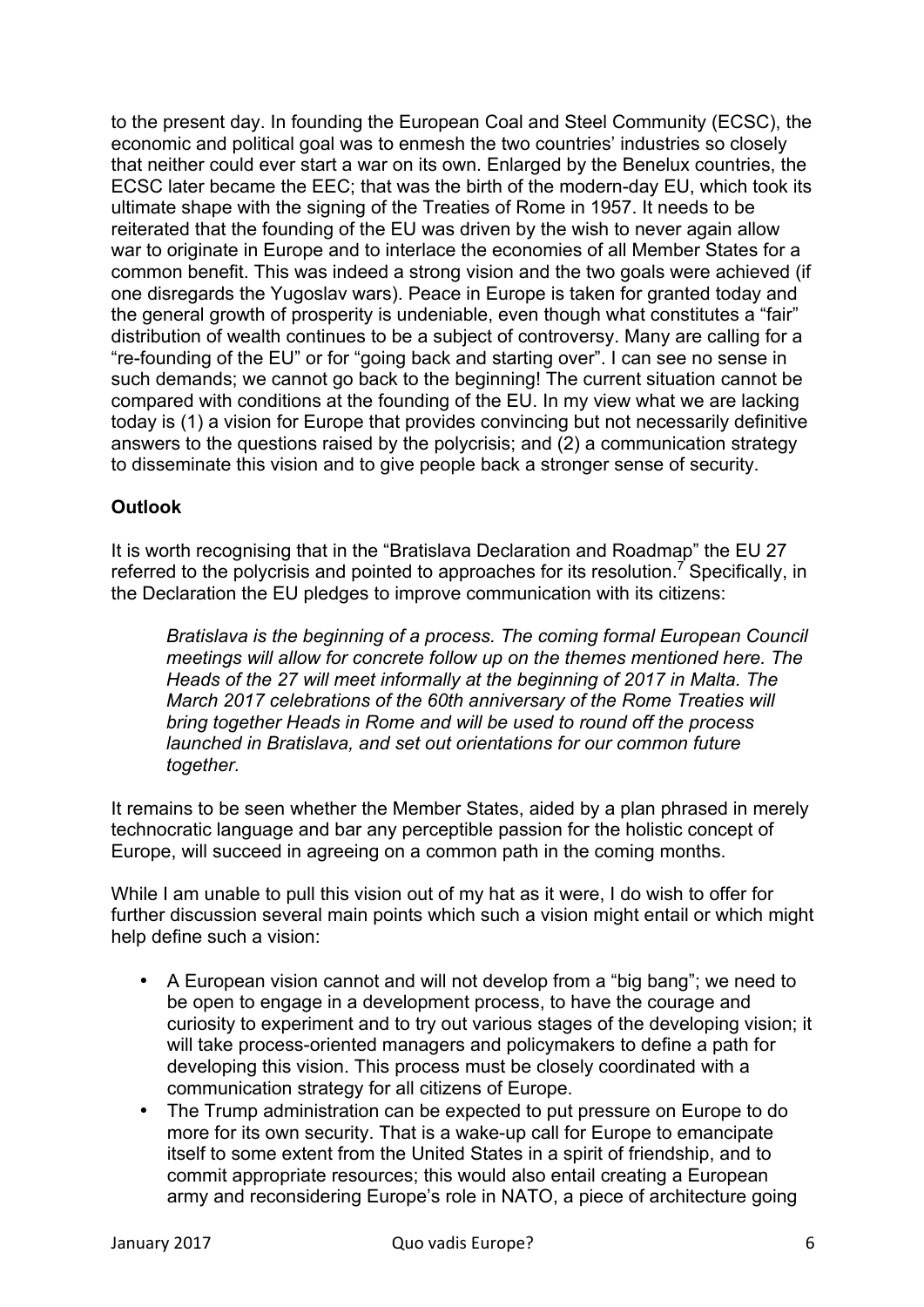to the present day. In founding the European Coal and Steel Community (ECSC), the economic and political goal was to enmesh the two countries' industries so closely that neither could ever start a war on its own. Enlarged by the Benelux countries, the ECSC later became the EEC; that was the birth of the modern-day EU, which took its ultimate shape with the signing of the Treaties of Rome in 1957. It needs to be reiterated that the founding of the EU was driven by the wish to never again allow war to originate in Europe and to interlace the economies of all Member States for a common benefit. This was indeed a strong vision and the two goals were achieved (if one disregards the Yugoslav wars). Peace in Europe is taken for granted today and the general growth of prosperity is undeniable, even though what constitutes a "fair" distribution of wealth continues to be a subject of controversy. Many are calling for a "re-founding of the EU" or for "going back and starting over". I can see no sense in such demands; we cannot go back to the beginning! The current situation cannot be compared with conditions at the founding of the EU. In my view what we are lacking today is (1) a vision for Europe that provides convincing but not necessarily definitive answers to the questions raised by the polycrisis; and (2) a communication strategy to disseminate this vision and to give people back a stronger sense of security.

## **Outlook**

It is worth recognising that in the "Bratislava Declaration and Roadmap" the EU 27 referred to the polycrisis and pointed to approaches for its resolution.<sup>7</sup> Specifically, in the Declaration the EU pledges to improve communication with its citizens:

*Bratislava is the beginning of a process. The coming formal European Council meetings will allow for concrete follow up on the themes mentioned here. The Heads of the 27 will meet informally at the beginning of 2017 in Malta. The March 2017 celebrations of the 60th anniversary of the Rome Treaties will bring together Heads in Rome and will be used to round off the process launched in Bratislava, and set out orientations for our common future together.*

It remains to be seen whether the Member States, aided by a plan phrased in merely technocratic language and bar any perceptible passion for the holistic concept of Europe, will succeed in agreeing on a common path in the coming months.

While I am unable to pull this vision out of my hat as it were, I do wish to offer for further discussion several main points which such a vision might entail or which might help define such a vision:

- A European vision cannot and will not develop from a "big bang"; we need to be open to engage in a development process, to have the courage and curiosity to experiment and to try out various stages of the developing vision; it will take process-oriented managers and policymakers to define a path for developing this vision. This process must be closely coordinated with a communication strategy for all citizens of Europe.
- The Trump administration can be expected to put pressure on Europe to do more for its own security. That is a wake-up call for Europe to emancipate itself to some extent from the United States in a spirit of friendship, and to commit appropriate resources; this would also entail creating a European army and reconsidering Europe's role in NATO, a piece of architecture going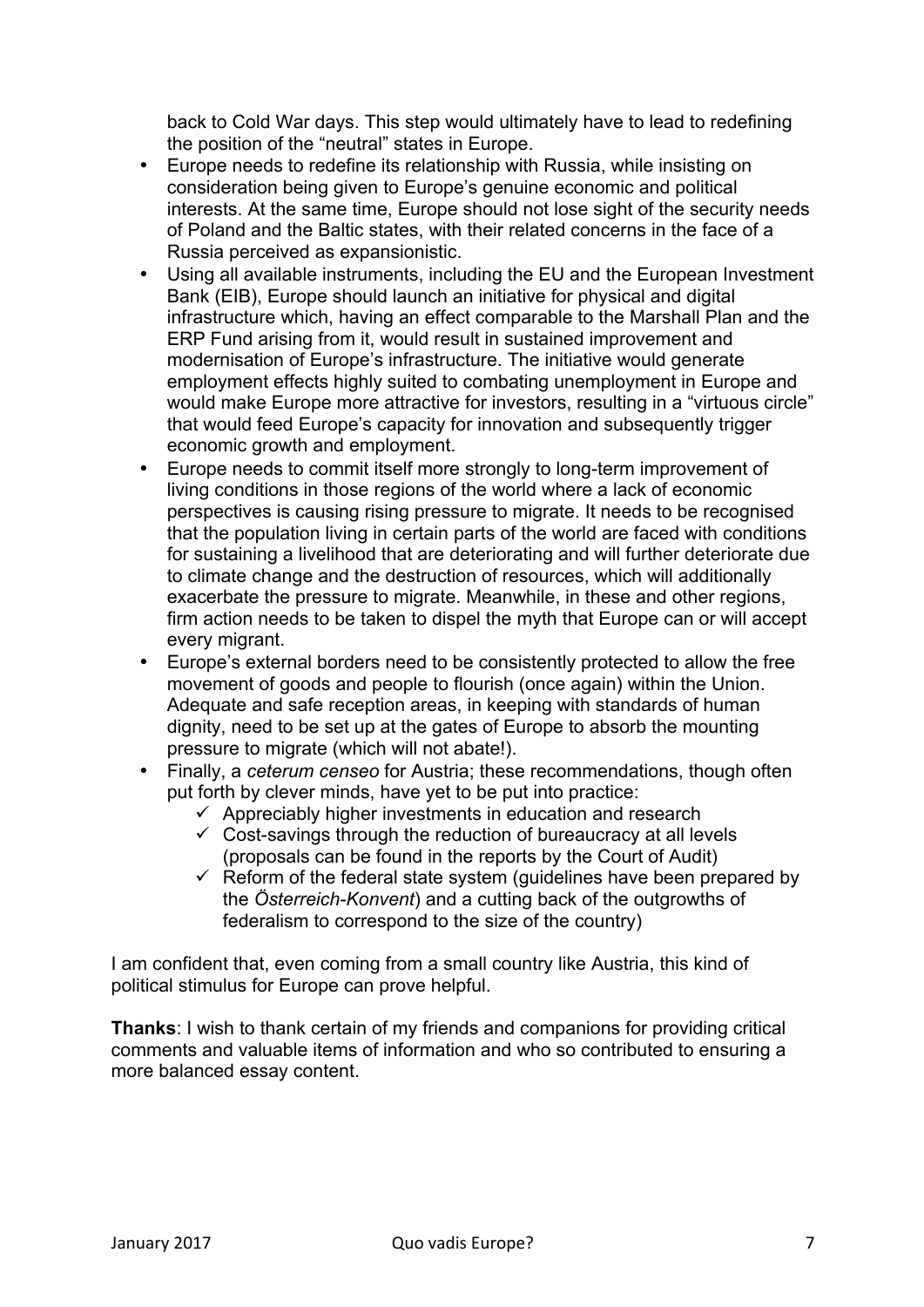back to Cold War days. This step would ultimately have to lead to redefining the position of the "neutral" states in Europe.

- Europe needs to redefine its relationship with Russia, while insisting on consideration being given to Europe's genuine economic and political interests. At the same time, Europe should not lose sight of the security needs of Poland and the Baltic states, with their related concerns in the face of a Russia perceived as expansionistic.
- Using all available instruments, including the EU and the European Investment Bank (EIB), Europe should launch an initiative for physical and digital infrastructure which, having an effect comparable to the Marshall Plan and the ERP Fund arising from it, would result in sustained improvement and modernisation of Europe's infrastructure. The initiative would generate employment effects highly suited to combating unemployment in Europe and would make Europe more attractive for investors, resulting in a "virtuous circle" that would feed Europe's capacity for innovation and subsequently trigger economic growth and employment.
- Europe needs to commit itself more strongly to long-term improvement of living conditions in those regions of the world where a lack of economic perspectives is causing rising pressure to migrate. It needs to be recognised that the population living in certain parts of the world are faced with conditions for sustaining a livelihood that are deteriorating and will further deteriorate due to climate change and the destruction of resources, which will additionally exacerbate the pressure to migrate. Meanwhile, in these and other regions, firm action needs to be taken to dispel the myth that Europe can or will accept every migrant.
- Europe's external borders need to be consistently protected to allow the free movement of goods and people to flourish (once again) within the Union. Adequate and safe reception areas, in keeping with standards of human dignity, need to be set up at the gates of Europe to absorb the mounting pressure to migrate (which will not abate!).
- Finally, a *ceterum censeo* for Austria; these recommendations, though often put forth by clever minds, have yet to be put into practice:
	- $\checkmark$  Appreciably higher investments in education and research
	- $\checkmark$  Cost-savings through the reduction of bureaucracy at all levels (proposals can be found in the reports by the Court of Audit)
	- $\checkmark$  Reform of the federal state system (quidelines have been prepared by the *Österreich-Konvent*) and a cutting back of the outgrowths of federalism to correspond to the size of the country)

I am confident that, even coming from a small country like Austria, this kind of political stimulus for Europe can prove helpful.

**Thanks**: I wish to thank certain of my friends and companions for providing critical comments and valuable items of information and who so contributed to ensuring a more balanced essay content.